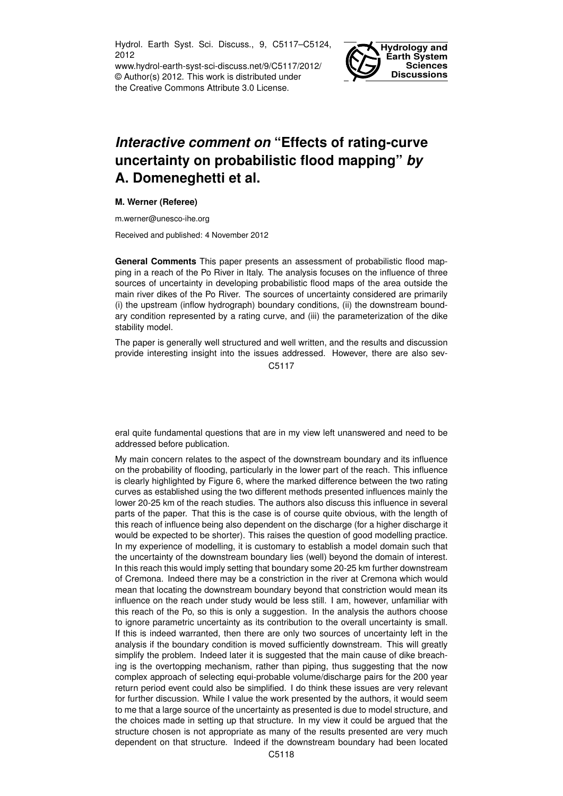Hydrol. Earth Syst. Sci. Discuss., 9, C5117–C5124, 2012

www.hydrol-earth-syst-sci-discuss.net/9/C5117/2012/ © Author(s) 2012. This work is distributed under the Creative Commons Attribute 3.0 License.



## *Interactive comment on* **"Effects of rating-curve uncertainty on probabilistic flood mapping"** *by* **A. Domeneghetti et al.**

## **M. Werner (Referee)**

m.werner@unesco-ihe.org

Received and published: 4 November 2012

**General Comments** This paper presents an assessment of probabilistic flood mapping in a reach of the Po River in Italy. The analysis focuses on the influence of three sources of uncertainty in developing probabilistic flood maps of the area outside the main river dikes of the Po River. The sources of uncertainty considered are primarily (i) the upstream (inflow hydrograph) boundary conditions, (ii) the downstream boundary condition represented by a rating curve, and (iii) the parameterization of the dike stability model.

The paper is generally well structured and well written, and the results and discussion provide interesting insight into the issues addressed. However, there are also sev-C5117

eral quite fundamental questions that are in my view left unanswered and need to be addressed before publication.

My main concern relates to the aspect of the downstream boundary and its influence on the probability of flooding, particularly in the lower part of the reach. This influence is clearly highlighted by Figure 6, where the marked difference between the two rating curves as established using the two different methods presented influences mainly the lower 20-25 km of the reach studies. The authors also discuss this influence in several parts of the paper. That this is the case is of course quite obvious, with the length of this reach of influence being also dependent on the discharge (for a higher discharge it would be expected to be shorter). This raises the question of good modelling practice. In my experience of modelling, it is customary to establish a model domain such that the uncertainty of the downstream boundary lies (well) beyond the domain of interest. In this reach this would imply setting that boundary some 20-25 km further downstream of Cremona. Indeed there may be a constriction in the river at Cremona which would mean that locating the downstream boundary beyond that constriction would mean its influence on the reach under study would be less still. I am, however, unfamiliar with this reach of the Po, so this is only a suggestion. In the analysis the authors choose to ignore parametric uncertainty as its contribution to the overall uncertainty is small. If this is indeed warranted, then there are only two sources of uncertainty left in the analysis if the boundary condition is moved sufficiently downstream. This will greatly simplify the problem. Indeed later it is suggested that the main cause of dike breaching is the overtopping mechanism, rather than piping, thus suggesting that the now complex approach of selecting equi-probable volume/discharge pairs for the 200 year return period event could also be simplified. I do think these issues are very relevant for further discussion. While I value the work presented by the authors, it would seem to me that a large source of the uncertainty as presented is due to model structure, and the choices made in setting up that structure. In my view it could be argued that the structure chosen is not appropriate as many of the results presented are very much dependent on that structure. Indeed if the downstream boundary had been located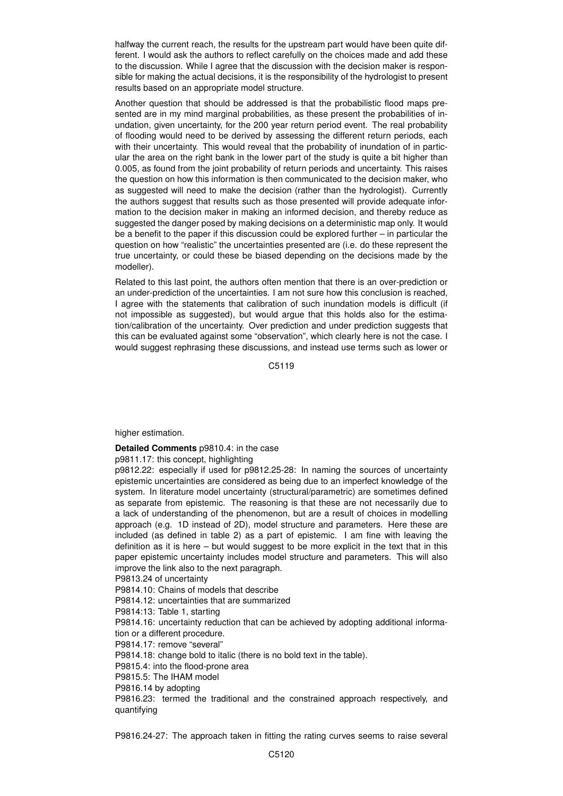halfway the current reach, the results for the upstream part would have been quite different. I would ask the authors to reflect carefully on the choices made and add these to the discussion. While I agree that the discussion with the decision maker is responsible for making the actual decisions, it is the responsibility of the hydrologist to present results based on an appropriate model structure.

Another question that should be addressed is that the probabilistic flood maps presented are in my mind marginal probabilities, as these present the probabilities of inundation, given uncertainty, for the 200 year return period event. The real probability of flooding would need to be derived by assessing the different return periods, each with their uncertainty. This would reveal that the probability of inundation of in particular the area on the right bank in the lower part of the study is quite a bit higher than 0.005, as found from the joint probability of return periods and uncertainty. This raises the question on how this information is then communicated to the decision maker, who as suggested will need to make the decision (rather than the hydrologist). Currently the authors suggest that results such as those presented will provide adequate information to the decision maker in making an informed decision, and thereby reduce as suggested the danger posed by making decisions on a deterministic map only. It would be a benefit to the paper if this discussion could be explored further – in particular the question on how "realistic" the uncertainties presented are (i.e. do these represent the true uncertainty, or could these be biased depending on the decisions made by the modeller).

Related to this last point, the authors often mention that there is an over-prediction or an under-prediction of the uncertainties. I am not sure how this conclusion is reached, I agree with the statements that calibration of such inundation models is difficult (if not impossible as suggested), but would argue that this holds also for the estimation/calibration of the uncertainty. Over prediction and under prediction suggests that this can be evaluated against some "observation", which clearly here is not the case. I would suggest rephrasing these discussions, and instead use terms such as lower or

C<sub>5119</sub>

higher estimation.

**Detailed Comments** p9810.4: in the case

p9811.17: this concept, highlighting

p9812.22: especially if used for p9812.25-28: In naming the sources of uncertainty epistemic uncertainties are considered as being due to an imperfect knowledge of the system. In literature model uncertainty (structural/parametric) are sometimes defined as separate from epistemic. The reasoning is that these are not necessarily due to a lack of understanding of the phenomenon, but are a result of choices in modelling approach (e.g. 1D instead of 2D), model structure and parameters. Here these are included (as defined in table 2) as a part of epistemic. I am fine with leaving the definition as it is here – but would suggest to be more explicit in the text that in this paper epistemic uncertainty includes model structure and parameters. This will also improve the link also to the next paragraph.

P9813.24 of uncertainty

P9814.10: Chains of models that describe

P9814.12: uncertainties that are summarized

P9814:13: Table 1, starting

P9814.16: uncertainty reduction that can be achieved by adopting additional information or a different procedure.

P9814.17: remove "several"

P9814.18: change bold to italic (there is no bold text in the table).

P9815.4: into the flood-prone area

P9815.5: The IHAM model

P9816.14 by adopting

P9816.23: termed the traditional and the constrained approach respectively, and quantifying

P9816.24-27: The approach taken in fitting the rating curves seems to raise several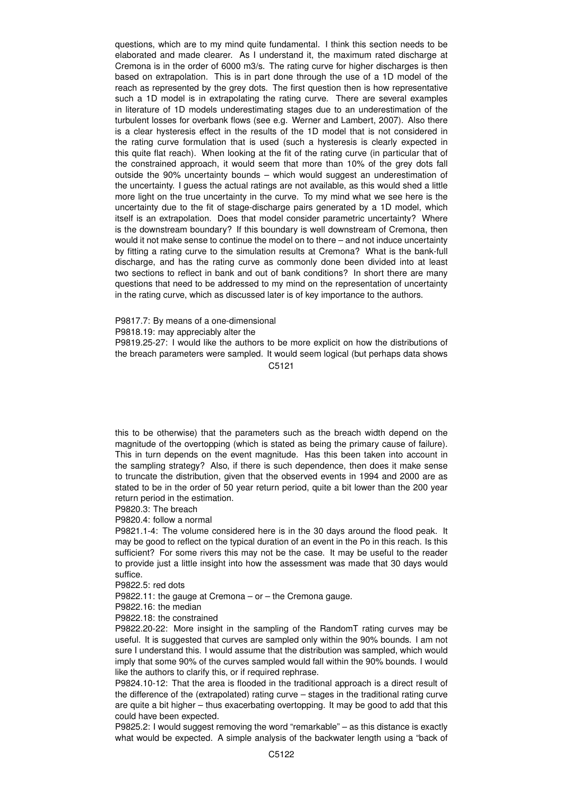questions, which are to my mind quite fundamental. I think this section needs to be elaborated and made clearer. As I understand it, the maximum rated discharge at Cremona is in the order of 6000 m3/s. The rating curve for higher discharges is then based on extrapolation. This is in part done through the use of a 1D model of the reach as represented by the grey dots. The first question then is how representative such a 1D model is in extrapolating the rating curve. There are several examples in literature of 1D models underestimating stages due to an underestimation of the turbulent losses for overbank flows (see e.g. Werner and Lambert, 2007). Also there is a clear hysteresis effect in the results of the 1D model that is not considered in the rating curve formulation that is used (such a hysteresis is clearly expected in this quite flat reach). When looking at the fit of the rating curve (in particular that of the constrained approach, it would seem that more than 10% of the grey dots fall outside the 90% uncertainty bounds – which would suggest an underestimation of the uncertainty. I guess the actual ratings are not available, as this would shed a little more light on the true uncertainty in the curve. To my mind what we see here is the uncertainty due to the fit of stage-discharge pairs generated by a 1D model, which itself is an extrapolation. Does that model consider parametric uncertainty? Where is the downstream boundary? If this boundary is well downstream of Cremona, then would it not make sense to continue the model on to there – and not induce uncertainty by fitting a rating curve to the simulation results at Cremona? What is the bank-full discharge, and has the rating curve as commonly done been divided into at least two sections to reflect in bank and out of bank conditions? In short there are many questions that need to be addressed to my mind on the representation of uncertainty in the rating curve, which as discussed later is of key importance to the authors.

P9817.7: By means of a one-dimensional

P9818.19: may appreciably alter the

P9819.25-27: I would like the authors to be more explicit on how the distributions of the breach parameters were sampled. It would seem logical (but perhaps data shows

C5121

this to be otherwise) that the parameters such as the breach width depend on the magnitude of the overtopping (which is stated as being the primary cause of failure). This in turn depends on the event magnitude. Has this been taken into account in the sampling strategy? Also, if there is such dependence, then does it make sense to truncate the distribution, given that the observed events in 1994 and 2000 are as stated to be in the order of 50 year return period, quite a bit lower than the 200 year return period in the estimation.

P9820.3: The breach

P9820.4: follow a normal

P9821.1-4: The volume considered here is in the 30 days around the flood peak. It may be good to reflect on the typical duration of an event in the Po in this reach. Is this sufficient? For some rivers this may not be the case. It may be useful to the reader to provide just a little insight into how the assessment was made that 30 days would suffice.

P9822.5: red dots

P9822.11: the gauge at Cremona – or – the Cremona gauge.

P9822.16: the median

P9822.18: the constrained

P9822.20-22: More insight in the sampling of the RandomT rating curves may be useful. It is suggested that curves are sampled only within the 90% bounds. I am not sure I understand this. I would assume that the distribution was sampled, which would imply that some 90% of the curves sampled would fall within the 90% bounds. I would like the authors to clarify this, or if required rephrase.

P9824.10-12: That the area is flooded in the traditional approach is a direct result of the difference of the (extrapolated) rating curve – stages in the traditional rating curve are quite a bit higher – thus exacerbating overtopping. It may be good to add that this could have been expected.

P9825.2: I would suggest removing the word "remarkable" – as this distance is exactly what would be expected. A simple analysis of the backwater length using a "back of